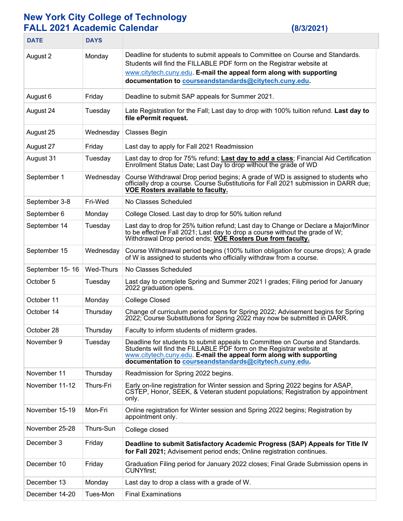## **New York City College of Technology FALL 2021 Academic Calendar (8/3/2021)**

| <b>DATE</b>     | <b>DAYS</b> |                                                                                                                                                                                                                                                                                        |
|-----------------|-------------|----------------------------------------------------------------------------------------------------------------------------------------------------------------------------------------------------------------------------------------------------------------------------------------|
| August 2        | Monday      | Deadline for students to submit appeals to Committee on Course and Standards.<br>Students will find the FILLABLE PDF form on the Registrar website at<br>www.citytech.cuny.edu. E-mail the appeal form along with supporting<br>documentation to courseandstandards@citytech.cuny.edu. |
| August 6        | Friday      | Deadline to submit SAP appeals for Summer 2021.                                                                                                                                                                                                                                        |
| August 24       | Tuesday     | Late Registration for the Fall; Last day to drop with 100% tuition refund. Last day to<br>file ePermit request.                                                                                                                                                                        |
| August 25       | Wednesday   | <b>Classes Begin</b>                                                                                                                                                                                                                                                                   |
| August 27       | Friday      | Last day to apply for Fall 2021 Readmission                                                                                                                                                                                                                                            |
| August 31       | Tuesday     | Last day to drop for 75% refund; Last day to add a class; Financial Aid Certification<br>Enrollment Status Date; Last Day to drop without the grade of WD                                                                                                                              |
| September 1     | Wednesday   | Course Withdrawal Drop period begins; A grade of WD is assigned to students who<br>officially drop a course. Course Substitutions for Fall 2021 submission in DARR due;<br><b>VOE Rosters available to faculty.</b>                                                                    |
| September 3-8   | Fri-Wed     | No Classes Scheduled                                                                                                                                                                                                                                                                   |
| September 6     | Monday      | College Closed. Last day to drop for 50% tuition refund                                                                                                                                                                                                                                |
| September 14    | Tuesday     | Last day to drop for 25% tuition refund; Last day to Change or Declare a Major/Minor<br>to be effective Fall 2021; Last day to drop a course without the grade of W;<br>Withdrawal Drop period ends; VOE Rosters Due from faculty.                                                     |
| September 15    | Wednesday   | Course Withdrawal period begins (100% tuition obligation for course drops); A grade<br>of W is assigned to students who officially withdraw from a course.                                                                                                                             |
| September 15-16 | Wed-Thurs   | No Classes Scheduled                                                                                                                                                                                                                                                                   |
| October 5       | Tuesday     | Last day to complete Spring and Summer 2021 I grades; Filing period for January<br>2022 graduation opens.                                                                                                                                                                              |
| October 11      | Monday      | <b>College Closed</b>                                                                                                                                                                                                                                                                  |
| October 14      | Thursday    | Change of curriculum period opens for Spring 2022; Advisement begins for Spring<br>2022; Course Substitutions for Spring 2022 may now be submitted in DARR.                                                                                                                            |
| October 28      | Thursday    | Faculty to inform students of midterm grades.                                                                                                                                                                                                                                          |
| November 9      | Tuesday     | Deadline for students to submit appeals to Committee on Course and Standards.<br>Students will find the FILLABLE PDF form on the Registrar website at<br>www.citytech.cuny.edu. E-mail the appeal form along with supporting<br>documentation to courseandstandards@citytech.cuny.edu. |
| November 11     | Thursday    | Readmission for Spring 2022 begins.                                                                                                                                                                                                                                                    |
| November 11-12  | Thurs-Fri   | Early on-line registration for Winter session and Spring 2022 begins for ASAP,<br>CSTEP, Honor, SEEK, & Veteran student populations; Registration by appointment<br>only.                                                                                                              |
| November 15-19  | Mon-Fri     | Online registration for Winter session and Spring 2022 begins; Registration by<br>appointment only.                                                                                                                                                                                    |
| November 25-28  | Thurs-Sun   | College closed                                                                                                                                                                                                                                                                         |
| December 3      | Friday      | Deadline to submit Satisfactory Academic Progress (SAP) Appeals for Title IV<br>for Fall 2021; Advisement period ends; Online registration continues.                                                                                                                                  |
| December 10     | Friday      | Graduation Filing period for January 2022 closes; Final Grade Submission opens in<br><b>CUNYfirst;</b>                                                                                                                                                                                 |
| December 13     | Monday      | Last day to drop a class with a grade of W.                                                                                                                                                                                                                                            |
| December 14-20  | Tues-Mon    | <b>Final Examinations</b>                                                                                                                                                                                                                                                              |